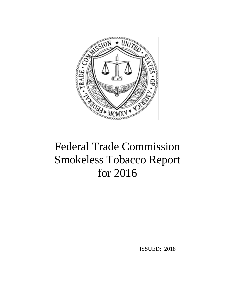

# Federal Trade Commission Smokeless Tobacco Report for 2016

ISSUED: 2018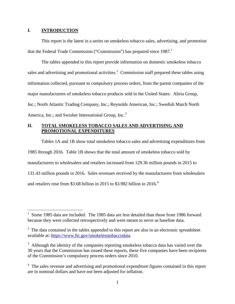#### **I. INTRODUCTION**

 $\overline{a}$ 

This report is the latest in a series on smokeless tobacco sales, advertising, and promotion that the Federal Trade Commission ("Commission") has prepared since  $1987<sup>1</sup>$  $1987<sup>1</sup>$ 

The tables appended to this report provide information on domestic smokeless tobacco sales and advertising and promotional activities.<sup>[2](#page-1-1)</sup> Commission staff prepared these tables using information collected, pursuant to compulsory process orders, from the parent companies of the major manufacturers of smokeless tobacco products sold in the United States: Altria Group, Inc.; North Atlantic Trading Company, Inc.; Reynolds American, Inc.; Swedish Match North America, Inc.; and Swisher International Group, Inc.<sup>[3](#page-1-2)</sup>

# **II. TOTAL SMOKELESS TOBACCO SALES AND ADVERTISING AND PROMOTIONAL EXPENDITURES**

Tables 1A and 1B show total smokeless tobacco sales and advertising expenditures from 1985 through 2016. Table 1B shows that the total amount of smokeless tobacco sold by manufacturers to wholesalers and retailers increased from 129.36 million pounds in 2015 to 131.43 million pounds in 2016. Sales revenues received by the manufacturers from wholesalers and retailers rose from \$3.68 billion in 2015 to \$3.982 billion in 2016.<sup>[4](#page-1-3)</sup>

<span id="page-1-0"></span><sup>1</sup> Some 1985 data are included. The 1985 data are less detailed than those from 1986 forward because they were collected retrospectively and were meant to serve as baseline data.

<span id="page-1-1"></span> $2^2$  The data contained in the tables appended to this report are also in an electronic spreadsheet available at: [https://www.ftc.gov/smokelesstobaccodata.](https://www.ftc.gov/smokelesstobaccodata)

<span id="page-1-2"></span> $3$  Although the identity of the companies reporting smokeless tobacco data has varied over the 30 years that the Commission has issued these reports, these five companies have been recipients of the Commission's compulsory process orders since 2010.

<span id="page-1-3"></span><sup>&</sup>lt;sup>4</sup> The sales revenue and advertising and promotional expenditure figures contained in this report are in nominal dollars and have not been adjusted for inflation.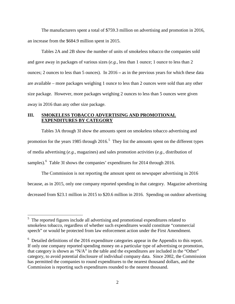The manufacturers spent a total of \$759.3 million on advertising and promotion in 2016, an increase from the \$684.9 million spent in 2015.

Tables 2A and 2B show the number of units of smokeless tobacco the companies sold and gave away in packages of various sizes (*e.g.*, less than 1 ounce; 1 ounce to less than 2 ounces; 2 ounces to less than 5 ounces). In 2016 **–** as in the previous years for which these data are available – more packages weighing 1 ounce to less than 2 ounces were sold than any other size package. However, more packages weighing 2 ounces to less than 5 ounces were given away in 2016 than any other size package.

## **III. SMOKELESS TOBACCO ADVERTISING AND PROMOTIONAL EXPENDITURES BY CATEGORY**

Tables 3A through 3I show the amounts spent on smokeless tobacco advertising and promotion for the years 198[5](#page-2-0) through  $2016$ <sup>5</sup>. They list the amounts spent on the different types of media advertising (*e.g.*, magazines) and sales promotion activities (*e.g.*, distribution of samples).<sup>[6](#page-2-1)</sup> Table 3I shows the companies' expenditures for 2014 through 2016.

The Commission is not reporting the amount spent on newspaper advertising in 2016 because, as in 2015, only one company reported spending in that category. Magazine advertising decreased from \$23.1 million in 2015 to \$20.6 million in 2016. Spending on outdoor advertising

<span id="page-2-0"></span><sup>&</sup>lt;sup>5</sup> The reported figures include all advertising and promotional expenditures related to smokeless tobacco, regardless of whether such expenditures would constitute "commercial speech" or would be protected from law enforcement action under the First Amendment.

<span id="page-2-1"></span> $6$  Detailed definitions of the 2016 expenditure categories appear in the Appendix to this report. If only one company reported spending money on a particular type of advertising or promotion, that category is shown as "N/A" in the table and the expenditures are included in the "Other" category, to avoid potential disclosure of individual company data. Since 2002, the Commission has permitted the companies to round expenditures to the nearest thousand dollars, and the Commission is reporting such expenditures rounded to the nearest thousand.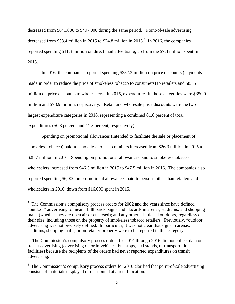decreased from \$641,000 to \$49[7](#page-3-0),000 during the same period.<sup>7</sup> Point-of-sale advertising decreased from \$33.4 million in 2015 to \$24.[8](#page-3-1) million in 2015.<sup>8</sup> In 2016, the companies reported spending \$11.3 million on direct mail advertising, up from the \$7.3 million spent in 2015.

In 2016, the companies reported spending \$382.3 million on price discounts (payments made in order to reduce the price of smokeless tobacco to consumers) to retailers and \$85.5 million on price discounts to wholesalers. In 2015, expenditures in those categories were \$350.0 million and \$78.9 million, respectively. Retail and wholesale price discounts were the two largest expenditure categories in 2016, representing a combined 61.6 percent of total expenditures (50.3 percent and 11.3 percent, respectively).

Spending on promotional allowances (intended to facilitate the sale or placement of smokeless tobacco) paid to smokeless tobacco retailers increased from \$26.3 million in 2015 to \$28.7 million in 2016. Spending on promotional allowances paid to smokeless tobacco wholesalers increased from \$46.5 million in 2015 to \$47.5 million in 2016. The companies also reported spending \$6,000 on promotional allowances paid to persons other than retailers and wholesalers in 2016, down from \$16,000 spent in 2015.

<span id="page-3-0"></span><sup>&</sup>lt;sup>7</sup> The Commission's compulsory process orders for 2002 and the years since have defined "outdoor" advertising to mean: billboards; signs and placards in arenas, stadiums, and shopping malls (whether they are open air or enclosed); and any other ads placed outdoors, regardless of their size, including those on the property of smokeless tobacco retailers. Previously, "outdoor" advertising was not precisely defined. In particular, it was not clear that signs in arenas, stadiums, shopping malls, or on retailer property were to be reported in this category.

The Commission's compulsory process orders for 2014 through 2016 did not collect data on transit advertising (advertising on or in vehicles, bus stops, taxi stands, or transportation facilities) because the recipients of the orders had never reported expenditures on transit advertising.

<span id="page-3-1"></span> $8\text{ The Commission's complexity process orders for 2016 clarified that point-of-sale advertising.}$ consists of materials displayed or distributed at a retail location.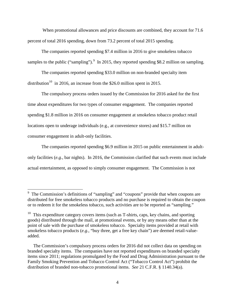When promotional allowances and price discounts are combined, they account for 71.6 percent of total 2016 spending, down from 73.2 percent of total 2015 spending.

The companies reported spending \$7.4 million in 2016 to give smokeless tobacco samples to the public ("sampling").  $9 \text{ In } 2015$  $9 \text{ In } 2015$ , they reported spending \$8.2 million on sampling.

The companies reported spending \$33.0 million on non-branded specialty item distribution<sup>10</sup> in 2016, an increase from the \$26.0 million spent in 2015.

The compulsory process orders issued by the Commission for 2016 asked for the first time about expenditures for two types of consumer engagement. The companies reported spending \$1.8 million in 2016 on consumer engagement at smokeless tobacco product retail locations open to underage individuals (e.g., at convenience stores) and \$15.7 million on consumer engagement in adult-only facilities.

The companies reported spending \$6.9 million in 2015 on public entertainment in adultonly facilities (*e.g.*, bar nights). In 2016, the Commission clarified that such events must include actual entertainment, as opposed to simply consumer engagement. The Commission is not

<span id="page-4-0"></span><sup>&</sup>lt;sup>9</sup> The Commission's definitions of "sampling" and "coupons" provide that when coupons are distributed for free smokeless tobacco products and no purchase is required to obtain the coupon or to redeem it for the smokeless tobacco, such activities are to be reported as "sampling."

<span id="page-4-1"></span> $10$  This expenditure category covers items (such as T-shirts, caps, key chains, and sporting goods) distributed through the mail, at promotional events, or by any means other than at the point of sale with the purchase of smokeless tobacco. Specialty items provided at retail with smokeless tobacco products (*e.g.*, "buy three, get a free key chain") are deemed retail-valueadded.

The Commission's compulsory process orders for 2016 did not collect data on spending on branded specialty items. The companies have not reported expenditures on branded specialty items since 2011; regulations promulgated by the Food and Drug Administration pursuant to the Family Smoking Prevention and Tobacco Control Act ("Tobacco Control Act") prohibit the distribution of branded non-tobacco promotional items. *See* 21 C.F.R. § 1140.34(a).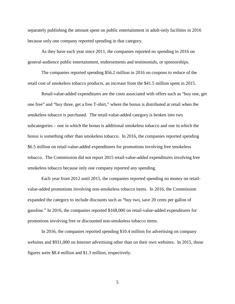separately publishing the amount spent on public entertainment in adult-only facilities in 2016 because only one company reported spending in that category.

As they have each year since 2011, the companies reported no spending in 2016 on general-audience public entertainment, endorsements and testimonials, or sponsorships.

The companies reported spending \$56.2 million in 2016 on coupons to reduce of the retail cost of smokeless tobacco products, an increase from the \$41.5 million spent in 2015.

Retail-value-added expenditures are the costs associated with offers such as "buy one, get one free" and "buy three, get a free T-shirt," where the bonus is distributed at retail when the smokeless tobacco is purchased. The retail-value-added category is broken into two subcategories – one in which the bonus is additional smokeless tobacco and one in which the bonus is something other than smokeless tobacco. In 2016, the companies reported spending \$6.5 million on retail-value-added expenditures for promotions involving free smokeless tobacco. The Commission did not report 2015 retail-value-added expenditures involving free smokeless tobacco because only one company reported any spending.

Each year from 2012 until 2015, the companies reported spending no money on retailvalue-added promotions involving non-smokeless tobacco items. In 2016, the Commission expanded the category to include discounts such as "buy two, save 20 cents per gallon of gasoline." In 2016, the companies reported \$168,000 on retail-value-added expenditures for promotions involving free or discounted non-smokeless tobacco items.

In 2016, the companies reported spending \$10.4 million for advertising on company websites and \$931,000 on Internet advertising other than on their own websites. In 2015, those figures were \$8.4 million and \$1.3 million, respectively.

5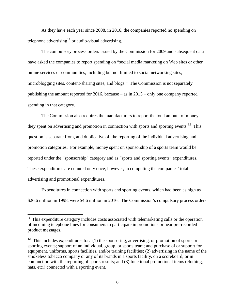As they have each year since 2008, in 2016, the companies reported no spending on telephone advertising $^{11}$  $^{11}$  $^{11}$  or audio-visual advertising.

The compulsory process orders issued by the Commission for 2009 and subsequent data have asked the companies to report spending on "social media marketing on Web sites or other online services or communities, including but not limited to social networking sites, microblogging sites, content-sharing sites, and blogs." The Commission is not separately publishing the amount reported for 2016, because – as in 2015 – only one company reported spending in that category.

The Commission also requires the manufacturers to report the total amount of money they spent on advertising and promotion in connection with sports and sporting events.<sup>12</sup> This question is separate from, and duplicative of, the reporting of the individual advertising and promotion categories. For example, money spent on sponsorship of a sports team would be reported under the "sponsorship" category and as "sports and sporting events" expenditures. These expenditures are counted only once, however, in computing the companies' total advertising and promotional expenditures.

Expenditures in connection with sports and sporting events, which had been as high as \$26.6 million in 1998, were \$4.6 million in 2016. The Commission's compulsory process orders

<span id="page-6-0"></span> $11$  This expenditure category includes costs associated with telemarketing calls or the operation of incoming telephone lines for consumers to participate in promotions or hear pre-recorded product messages.

<span id="page-6-1"></span> $12$  This includes expenditures for: (1) the sponsoring, advertising, or promotion of sports or sporting events; support of an individual, group, or sports team; and purchase of or support for equipment, uniforms, sports facilities, and/or training facilities; (2) advertising in the name of the smokeless tobacco company or any of its brands in a sports facility, on a scoreboard, or in conjunction with the reporting of sports results; and (3) functional promotional items (clothing, hats, etc.) connected with a sporting event.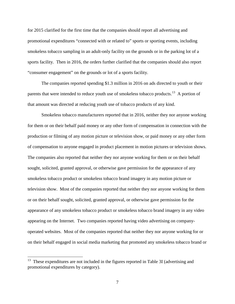for 2015 clarified for the first time that the companies should report all advertising and promotional expenditures "connected with or related to" sports or sporting events, including smokeless tobacco sampling in an adult-only facility on the grounds or in the parking lot of a sports facility. Then in 2016, the orders further clarified that the companies should also report "consumer engagement" on the grounds or lot of a sports facility.

The companies reported spending \$1.3 million in 2016 on ads directed to youth or their parents that were intended to reduce youth use of smokeless tobacco products.<sup>[13](#page-7-0)</sup> A portion of that amount was directed at reducing youth use of tobacco products of any kind.

Smokeless tobacco manufacturers reported that in 2016, neither they nor anyone working for them or on their behalf paid money or any other form of compensation in connection with the production or filming of any motion picture or television show, or paid money or any other form of compensation to anyone engaged in product placement in motion pictures or television shows. The companies also reported that neither they nor anyone working for them or on their behalf sought, solicited, granted approval, or otherwise gave permission for the appearance of any smokeless tobacco product or smokeless tobacco brand imagery in any motion picture or television show. Most of the companies reported that neither they nor anyone working for them or on their behalf sought, solicited, granted approval, or otherwise gave permission for the appearance of any smokeless tobacco product or smokeless tobacco brand imagery in any video appearing on the Internet. Two companies reported having video advertising on companyoperated websites. Most of the companies reported that neither they nor anyone working for or on their behalf engaged in social media marketing that promoted any smokeless tobacco brand or

<span id="page-7-0"></span> $13$  These expenditures are not included in the figures reported in Table 3I (advertising and promotional expenditures by category).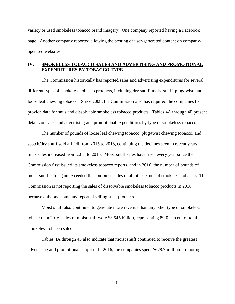variety or used smokeless tobacco brand imagery. One company reported having a Facebook page. Another company reported allowing the posting of user-generated content on companyoperated websites.

#### **IV. SMOKELESS TOBACCO SALES AND ADVERTISING AND PROMOTIONAL EXPENDITURES BY TOBACCO TYPE**

The Commission historically has reported sales and advertising expenditures for several different types of smokeless tobacco products, including dry snuff, moist snuff, plug/twist, and loose leaf chewing tobacco. Since 2008, the Commission also has required the companies to provide data for snus and dissolvable smokeless tobacco products. Tables 4A through 4F present details on sales and advertising and promotional expenditures by type of smokeless tobacco.

The number of pounds of loose leaf chewing tobacco, plug/twist chewing tobacco, and scotch/dry snuff sold all fell from 2015 to 2016, continuing the declines seen in recent years. Snus sales increased from 2015 to 2016. Moist snuff sales have risen every year since the Commission first issued its smokeless tobacco reports, and in 2016, the number of pounds of moist snuff sold again exceeded the combined sales of all other kinds of smokeless tobacco. The Commission is not reporting the sales of dissolvable smokeless tobacco products in 2016 because only one company reported selling such products.

Moist snuff also continued to generate more revenue than any other type of smokeless tobacco. In 2016, sales of moist stuff were \$3.545 billion, representing 89.0 percent of total smokeless tobacco sales.

Tables 4A through 4F also indicate that moist snuff continued to receive the greatest advertising and promotional support. In 2016, the companies spent \$678.7 million promoting

8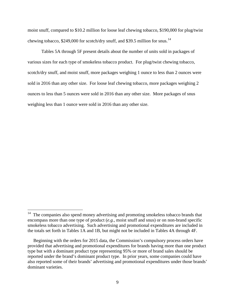moist snuff, compared to \$10.2 million for loose leaf chewing tobacco, \$190,000 for plug/twist chewing tobacco, \$249,000 for scotch/dry snuff, and \$39.5 million for snus.<sup>14</sup>

Tables 5A through 5F present details about the number of units sold in packages of various sizes for each type of smokeless tobacco product.For plug/twist chewing tobacco, scotch/dry snuff, and moist snuff, more packages weighing 1 ounce to less than 2 ounces were sold in 2016 than any other size.For loose leaf chewing tobacco, more packages weighing 2 ounces to less than 5 ounces were sold in 2016 than any other size.More packages of snus weighing less than 1 ounce were sold in 2016 than any other size.

<span id="page-9-0"></span><sup>&</sup>lt;sup>14</sup> The companies also spend money advertising and promoting smokeless tobacco brands that encompass more than one type of product (*e.g.*, moist snuff and snus) or on non-brand specific smokeless tobacco advertising. Such advertising and promotional expenditures are included in the totals set forth in Tables 1A and 1B, but might not be included in Tables 4A through 4F.

Beginning with the orders for 2015 data, the Commission's compulsory process orders have provided that advertising and promotional expenditures for brands having more than one product type but with a dominant product type representing 95% or more of brand sales should be reported under the brand's dominant product type. In prior years, some companies could have also reported some of their brands' advertising and promotional expenditures under those brands' dominant varieties.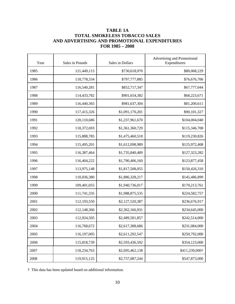# **TABLE 1A TOTAL SMOKELESS TOBACCO SALES AND ADVERTISING AND PROMOTIONAL EXPENDITURES FOR 1985 – 2008**

| Year | Sales in Pounds | Sales in Dollars | Advertising and Promotional<br>Expenditures |  |
|------|-----------------|------------------|---------------------------------------------|--|
| 1985 | 121,449,115     | \$730,618,970    | \$80,068,229                                |  |
| 1986 | 118,778,334     | \$797,777,885    | \$76,676,706                                |  |
| 1987 | 116,540,281     | \$852,717,347    | \$67,777,044                                |  |
| 1988 | 114,433,782     | \$901,654,382    | \$68,223,671                                |  |
| 1989 | 116,440,365     | \$981,637,304    | \$81,200,611                                |  |
| 1990 | 117,415,326     | \$1,091,170,201  | \$90,101,327                                |  |
| 1991 | 120,110,686     | \$1,237,961,670  | \$104,004,040                               |  |
| 1992 | 118,372,693     | \$1,361,360,729  | \$115,346,708                               |  |
| 1993 | 115,888,785     | \$1,475,460,518  | \$119,230,826                               |  |
| 1994 | 115,495,201     | \$1,612,098,989  | \$125,972,408                               |  |
| 1995 | 116,387,464     | \$1,735,840,489  | \$127,323,282                               |  |
| 1996 | 116,404,222     | \$1,790,406,160  | \$123,877,458                               |  |
| 1997 | 113,975,148     | \$1,817,508,055  | \$150,426,310                               |  |
| 1998 | 110,036,380     | \$1,886,328,217  | \$145,486,899                               |  |
| 1999 | 109,401,055     | \$1,940,736,017  | \$170,213,761                               |  |
| 2000 | 111,741,335     | \$1,988,875,535  | \$224,582,757                               |  |
| 2001 | 112,193,550     | \$2,127,520,387  | \$236,676,917                               |  |
| 2002 | 112,148,366     | \$2,362,166,931  | \$234,645,000                               |  |
| 2003 | 112,924,505     | \$2,489,501,857  | \$242,514,000                               |  |
| 2004 | 116,768,672     | \$2,617,388,686  | \$231,084,000                               |  |
| 2005 | 116,197,005     | \$2,611,292,547  | \$250,792,000                               |  |
| 2006 | 115,818,739     | \$2,593,436,592  | \$354,123,000                               |  |
| 2007 | 118,234,763     | \$2,695,462,138  | \$411,239,000†                              |  |
| 2008 | 119,915,125     | \$2,757,087,244  | \$547,873,000                               |  |

† This data has been updated based on additional information.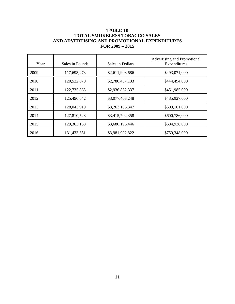# **TABLE 1B TOTAL SMOKELESS TOBACCO SALES AND ADVERTISING AND PROMOTIONAL EXPENDITURES FOR 2009 – 2015**

| Year | Sales in Pounds | Sales in Dollars | Advertising and Promotional<br>Expenditures |
|------|-----------------|------------------|---------------------------------------------|
| 2009 | 117,693,273     | \$2,611,908,686  | \$493,071,000                               |
| 2010 | 120,522,070     | \$2,780,437,133  | \$444,494,000                               |
| 2011 | 122,735,863     | \$2,936,852,337  | \$451,985,000                               |
| 2012 | 125,496,642     | \$3,077,403,248  | \$435,927,000                               |
| 2013 | 128,043,919     | \$3,263,105,347  | \$503,161,000                               |
| 2014 | 127,810,528     | \$3,415,702,358  | \$600,786,000                               |
| 2015 | 129,363,158     | \$3,680,195,446  | \$684,938,000                               |
| 2016 | 131,433,651     | \$3,981,902,822  | \$759,348,000                               |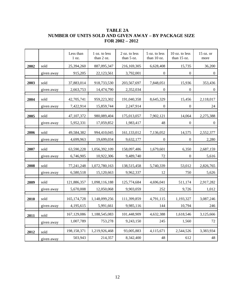# **TABLE 2A NUMBER OF UNITS SOLD AND GIVEN AWAY – BY PACKAGE SIZE FOR 2002 – 2012**

|      |            | Less than<br>$1 \text{ oz.}$ | 1 oz. to less<br>than 2 oz. | 2 oz. to less<br>than $5 \text{ oz}$ . | 5 oz. to less<br>than $10$ oz. | 10 oz. to less<br>than 15 oz. | 15 oz. or<br>more |
|------|------------|------------------------------|-----------------------------|----------------------------------------|--------------------------------|-------------------------------|-------------------|
| 2002 | sold       | 25,394,260                   | 887,095,347                 | 216,169,305                            | 6,628,408                      | 15,735                        | 36,200            |
|      | given away | 915,205                      | 22,123,561                  | 3,792,001                              | $\overline{0}$                 | $\theta$                      | $\mathbf{0}$      |
| 2003 | sold       | 37,883,014                   | 918,733,530                 | 203,567,697                            | 7,848,051                      | 15,936                        | 353,436           |
|      | given away | 2,663,753                    | 14,474,790                  | 2,352,034                              | $\overline{0}$                 | $\theta$                      | $\mathbf{0}$      |
| 2004 | sold       | 42,705,741                   | 959,223,302                 | 191,040,358                            | 8,645,329                      | 15,456                        | 2,118,017         |
|      | given away | 7,422,914                    | 15,859,744                  | 2,247,914                              | $\overline{0}$                 | $\mathbf{0}$                  | 24                |
| 2005 | sold       | 47,107,372                   | 980,089,404                 | 175,013,057                            | 7,902,121                      | 14,064                        | 2,275,388         |
|      | given away | 5,952,331                    | 17,059,852                  | 1,983,417                              | 48                             | $\theta$                      | $\boldsymbol{0}$  |
| 2006 | sold       | 49,584,382                   | 994,410,045                 | 161,133,012                            | 7,136,052                      | 14,575                        | 2,552,377         |
|      | given away | 4,699,963                    | 19,699,034                  | 9,632,177                              | $\overline{0}$                 | $\theta$                      | 2,280             |
| 2007 | sold       | 63,590,228                   | 1,056,392,109               | 158,097,486                            | 1,679,601                      | 6,350                         | 2,687,159         |
|      | given away | 6,746,905                    | 10,922,306                  | 9,489,740                              | 72                             | $\boldsymbol{0}$              | 5,616             |
| 2008 | sold       | 77,241,248                   | 1,072,780,163               | 138,515,458                            | 5,740,339                      | 53,012                        | 2,826,765         |
|      | given away | 6,580,518                    | 15,120,663                  | 9,962,337                              | 12                             | 750                           | 5,626             |
| 2009 | sold       | 121,886,357                  | 1,098,116,188               | 125,774,684                            | 4,696,041                      | 511,174                       | 2,917,282         |
|      | given away | 5,670,008                    | 12,050,068                  | 9,903,059                              | 252                            | 9,726                         | 1,012             |
| 2010 | sold       | 165, 174, 728                | 1,148,099,256               | 111,399,859                            | 4,791,115                      | 1,193,327                     | 3,087,246         |
|      | given away | 4,195,615                    | 5,991,661                   | 9,985,116                              | 144                            | 10,794                        | 246               |
| 2011 | sold       | 167,129,086                  | 1,188,545,083               | 101,448,909                            | 4,632,388                      | 1,618,546                     | 3,125,666         |
|      | given away | 1,007,789                    | 753,278                     | 9,243,150                              | 245                            | 1,560                         | 72                |
| 2012 | sold       | 198,158,371                  | 1,219,926,468               | 93,005,883                             | 4,115,671                      | 2,544,526                     | 3,383,934         |
|      | given away | 503,943                      | 214,357                     | 8,342,400                              | 48                             | 612                           | 48                |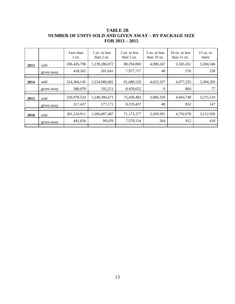|      |            | Less than<br>$1 \text{ oz.}$ | 1 oz. to less<br>than $2 \text{ oz}$ . | 2 oz. to less<br>than $5 \text{ oz}$ . | 5 oz. to less<br>than $10$ oz. | $10$ oz. to less<br>than $15 \text{ oz}$ . | $15$ oz. or<br>more |
|------|------------|------------------------------|----------------------------------------|----------------------------------------|--------------------------------|--------------------------------------------|---------------------|
| 2013 | sold       | 206,426,798                  | 1,239,286,872                          | 88,294,800                             | 4,090,247                      | 3,505,261                                  | 3,284,546           |
|      | given away | 418,302                      | 201,641                                | 7,977,717                              | 48                             | 576                                        | 158                 |
|      |            |                              |                                        |                                        |                                |                                            |                     |
| 2014 | sold       | 224, 364, 145                | 1,234,089,681                          | 81,688,529                             | 4,025,337                      | 4,077,255                                  | 3,304,393           |
|      | given away | 388,078                      | 192,211                                | 8,459,652                              | $\theta$                       | 864                                        | 77                  |
|      |            |                              |                                        |                                        |                                |                                            |                     |
| 2015 | sold       | 250,978,524                  | 1,248,306,671                          | 75,439,482                             | 3,896,359                      | 4,443,748                                  | 3,275,510           |
|      | given away | 317,437                      | 177,171                                | 8,319,437                              | 48                             | 852                                        | 147                 |
|      |            |                              |                                        |                                        |                                |                                            |                     |
| 2016 | sold       | 281,224,911                  | 1,266,087,487                          | 71,173,377                             | 3,439,501                      | 4,792,078                                  | 3,212,926           |
|      | given away | 441,634                      | 99,476                                 | 7,578,154                              | 264                            | 912                                        | 418                 |
|      |            |                              |                                        |                                        |                                |                                            |                     |

**TABLE 2B NUMBER OF UNITS SOLD AND GIVEN AWAY – BY PACKAGE SIZE FOR 2013 – 2015**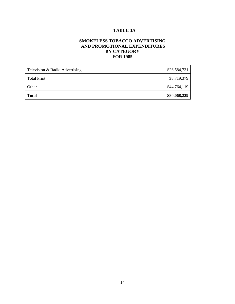# **TABLE 3A**

# **SMOKELESS TOBACCO ADVERTISING AND PROMOTIONAL EXPENDITURES BY CATEGORY FOR 1985**

| Television & Radio Advertising | \$26,584,731 |
|--------------------------------|--------------|
| <b>Total Print</b>             | \$8,719,379  |
| Other                          | \$44,764,119 |
| <b>Total</b>                   | \$80,068,229 |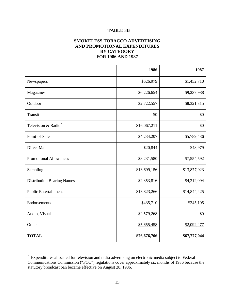#### **TABLE 3B**

## **SMOKELESS TOBACCO ADVERTISING AND PROMOTIONAL EXPENDITURES BY CATEGORY FOR 1986 AND 1987**

|                                   | 1986         | 1987         |
|-----------------------------------|--------------|--------------|
| Newspapers                        | \$626,979    | \$1,452,710  |
| Magazines                         | \$6,226,654  | \$9,237,988  |
| Outdoor                           | \$2,722,557  | \$8,321,315  |
| Transit                           | \$0          | \$0          |
| Television & Radio*               | \$16,067,211 | \$0          |
| Point-of-Sale                     | \$4,234,207  | \$5,789,436  |
| Direct Mail                       | \$20,844     | \$48,979     |
| <b>Promotional Allowances</b>     | \$8,231,580  | \$7,554,592  |
| Sampling                          | \$13,699,156 | \$13,877,923 |
| <b>Distribution Bearing Names</b> | \$2,353,816  | \$4,312,094  |
| <b>Public Entertainment</b>       | \$13,823,266 | \$14,844,425 |
| Endorsements                      | \$435,710    | \$245,105    |
| Audio, Visual                     | \$2,579,268  | \$0          |
| Other                             | \$5,655,458  | \$2,092,477  |
| <b>TOTAL</b>                      | \$76,676,706 | \$67,777,044 |

<span id="page-15-0"></span><sup>\*</sup> Expenditures allocated for television and radio advertising on electronic media subject to Federal Communications Commission ("FCC") regulations cover approximately six months of 1986 because the statutory broadcast ban became effective on August 28, 1986.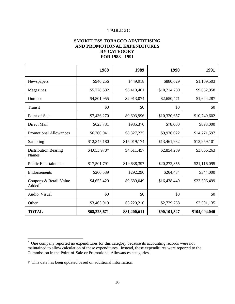#### **TABLE 3C**

## **SMOKELESS TOBACCO ADVERTISING AND PROMOTIONAL EXPENDITURES BY CATEGORY FOR 1988 - 1991**

|                                               | 1988         | 1989         | 1990         | 1991          |
|-----------------------------------------------|--------------|--------------|--------------|---------------|
| Newspapers                                    | \$940,256    | \$449,918    | \$880,629    | \$1,109,503   |
| Magazines                                     | \$5,778,582  | \$6,410,401  | \$10,214,280 | \$9,652,958   |
| Outdoor                                       | \$4,801,955  | \$2,913,074  | \$2,650,471  | \$1,644,287   |
| Transit                                       | \$0          | \$0          | \$0          | \$0           |
| Point-of-Sale                                 | \$7,436,270  | \$9,693,996  | \$10,320,657 | \$10,749,602  |
| Direct Mail                                   | \$623,731    | \$935,370    | \$78,000     | \$893,000     |
| <b>Promotional Allowances</b>                 | \$6,360,041  | \$8,327,225  | \$9,936,022  | \$14,771,597  |
| Sampling                                      | \$12,345,180 | \$15,019,174 | \$13,461,932 | \$13,959,101  |
| <b>Distribution Bearing</b><br>Names          | \$4,055,978† | \$4,611,457  | \$2,854,289  | \$3,866,263   |
| <b>Public Entertainment</b>                   | \$17,501,791 | \$19,638,397 | \$20,272,355 | \$21,116,095  |
| Endorsements                                  | \$260,539    | \$292,290    | \$264,484    | \$344,000     |
| Coupons & Retail-Value-<br>Added <sup>*</sup> | \$4,655,429  | \$9,689,049  | \$16,438,440 | \$23,306,499  |
| Audio, Visual                                 | \$0          | \$0          | \$0          | \$0           |
| Other                                         | \$3,463,919  | \$3,220,210  | \$2,729,768  | \$2,591,135   |
| <b>TOTAL</b>                                  | \$68,223,671 | \$81,200,611 | \$90,101,327 | \$104,004,040 |

<span id="page-16-0"></span><sup>\*</sup> One company reported no expenditures for this category because its accounting records were not maintained to allow calculation of these expenditures. Instead, these expenditures were reported to the Commission in the Point-of-Sale or Promotional Allowances categories.

<sup>†</sup> This data has been updated based on additional information.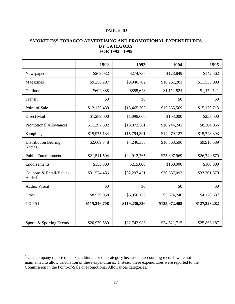## **TABLE 3D**

#### **SMOKELESS TOBACCO ADVERTISING AND PROMOTIONAL EXPENDITURES BY CATEGORY FOR 1992 - 1995**

|                                                                                 | 1992          | 1993          | 1994                   | 1995          |
|---------------------------------------------------------------------------------|---------------|---------------|------------------------|---------------|
| Newspapers                                                                      | \$269,032     | \$274,738     | \$128,849<br>\$142,562 |               |
| Magazines                                                                       | \$9,258,297   | \$8,040,702   | \$10,261,201           | \$11,533,093  |
| Outdoor                                                                         | \$694,388     | \$855,643     | \$1,112,524            | \$1,474,121   |
| Transit                                                                         | \$0           | \$0           | \$0                    | \$0           |
| Point-of-Sale                                                                   | \$12,133,489  | \$13,465,302  | \$13,555,569           | \$15,170,713  |
| Direct Mail                                                                     | \$1,289,000   | \$1,099,000   | \$103,000              | \$253,000     |
| <b>Promotional Allowances</b>                                                   | \$11,397,882  | \$13,073,381  | \$10,244,241           | \$8,304,066   |
| Sampling                                                                        | \$15,975,134  | \$15,794,391  | \$14,279,127           | \$15,748,393  |
| <b>Distribution Bearing</b><br><b>Names</b>                                     | \$2,609,348   | \$4,246,353   | \$10,368,596           | \$9,915,589   |
| <b>Public Entertainment</b>                                                     | \$21,511,594  | \$22,912,765  | \$25,397,969           | \$26,749,679  |
| Endorsements                                                                    | \$155,000     | \$215,000     | \$160,000              | \$160,000     |
| Coupons & Retail-Value-<br>$\overline{\mathbf{A}}$ dded $\overline{\mathbf{A}}$ | \$31,524,486  | \$32,297,431  | \$36,687,092           | \$33,701,379  |
| Audio, Visual                                                                   | \$0           | \$0           | \$0                    | \$0           |
| Other                                                                           | \$8,529,058   | \$6,956,120   | \$3,674,240            | \$4,170,687   |
| <b>TOTAL</b>                                                                    | \$115,346,708 | \$119,230,826 | \$125,972,408          | \$127,323,282 |
| Sports & Sporting Events                                                        | \$20,970,580  | \$22,742,986  | \$24,521,715           | \$25,863,187  |

<span id="page-17-0"></span><sup>\*</sup> One company reported no expenditures for this category because its accounting records were not maintained to allow calculation of these expenditures. Instead, these expenditures were reported to the Commission in the Point-of-Sale or Promotional Allowances categories.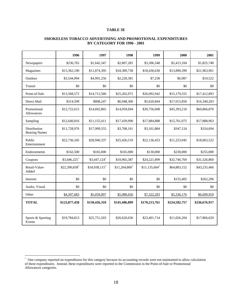#### **TABLE 3E**

| SMOKELESS TOBACCO ADVERTISING AND PROMOTIONAL EXPENDITURES |
|------------------------------------------------------------|
| <b>BY CATEGORY FOR 1996 - 2001</b>                         |

|                                      | 1996          | 1997          | 1998                       | 1999                       | 2000          | 2001          |
|--------------------------------------|---------------|---------------|----------------------------|----------------------------|---------------|---------------|
| Newspapers                           | \$236,765     | \$1,642,347   | \$2,807,281                | \$3,306,548                | \$2,413,104   | \$1,825,748   |
| Magazines                            | \$13,362,100  | \$11,874,395  | \$18,389,758               | \$18,436,630               | \$13,890,399  | \$21,963,961  |
| Outdoor                              | \$3,544,994   | \$4,991,256   | \$2,228,381                | \$7,258                    | \$6,987       | \$10,522      |
| Transit                              | \$0           | \$0           | \$0                        | \$0                        | \$0           | \$0           |
| Point-of-Sale                        | \$13,568,572  | \$14,712,560  | \$25,202,972               | \$26,092,942               | \$15,179,555  | \$17,412,893  |
| Direct Mail                          | \$314,599     | \$808,247     | \$6,948,300                | \$5,620,844                | \$17,015,856  | \$16,340,203  |
| Promotional<br><b>Allowances</b>     | \$12,722,615  | \$14,692,865  | \$14,959,694               | \$30,756,608               | \$45,393,210  | \$60,866,870  |
| Sampling                             | \$12,640,816  | \$11,155,411  | \$17,439,990               | \$17,884,888               | \$15,761,075  | \$17,888,963  |
| Distribution<br><b>Bearing Names</b> | \$11,728,976  | \$17,999,555  | \$3,768,161                | \$3,161,884                | \$347,124     | \$324,694     |
| Public<br>Entertainment              | \$22,736,345  | \$28,940,337  | \$25,426,519               | \$22,136,453               | \$11,223,945  | \$18,063,522  |
| Endorsements                         | \$162,500     | \$165,000     | \$165,000                  | \$130,000                  | \$230,000     | \$255,000     |
| Coupons                              | \$3,446,225*  | \$3,447,124*  | \$10,965,387               | \$24,221,899               | \$32,746,769  | \$31,526,860  |
| Retail-Value-<br>Added               | \$22,390,838  | \$34,938,115* | $$11,204,800$ <sup>*</sup> | $$11,135,604$ <sup>*</sup> | \$64,883,152  | \$43,235,466  |
| Internet                             | \$0           | \$0           | \$0                        | \$0                        | \$155,405     | \$262,296     |
| Audio, Visual                        | \$0           | \$0           | \$0                        | \$0                        | \$0           | \$0           |
| Other                                | \$4,397,683   | \$5,059,097   | \$5,980,656                | \$7,322,203                | \$5,336,176   | \$6,699,919   |
| <b>TOTAL</b>                         | \$123,877,458 | \$150,426,310 | \$145,486,899              | \$170,213,761              | \$224,582,757 | \$236,676,917 |
| Sports & Sporting<br>Events          | \$19,784,813  | \$25,751,503  | \$26,620,636               | \$23,401,714               | \$11,026,204  | \$17,866,620  |

<span id="page-18-0"></span> \* One company reported no expenditures for this category because its accounting records were not maintained to allow calculation of these expenditures. Instead, these expenditures were reported to the Commission in the Point-of-Sale or Promotional Allowances categories.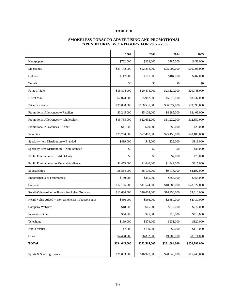#### **TABLE 3F**

#### **SMOKELESS TOBACCO ADVERTISING AND PROMOTIONAL EXPENDITURES BY CATEGORY FOR 2002 - 2005**

|                                                  | 2002          | 2003          | 2004          | 2005          |
|--------------------------------------------------|---------------|---------------|---------------|---------------|
| Newspapers                                       | \$722,000     | \$262,000     | \$285,000     | \$453,000     |
| Magazines                                        | \$23,142,000  | \$22,838,000  | \$25,002,000  | \$20,996,000  |
| Outdoor                                          | \$117,000     | \$101,000     | \$184,000     | \$207,000     |
| Transit                                          | \$0           | \$0           | \$0           | \$0           |
| Point-of-Sale                                    | \$16,894,000  | \$20,874,000  | \$23,120,000  | \$20,748,000  |
| Direct Mail                                      | \$7,073,000   | \$5,982,000   | \$5,670,000   | \$8,237,000   |
| Price Discounts                                  | \$99,000,000  | \$106,531,000 | \$86,977,000  | \$99,699,000  |
| Promotional Allowances – Retailers               | \$3,245,000   | \$5,103,000   | \$4,285,000   | \$3,406,000   |
| Promotional Allowances - Wholesalers             | \$16,755,000  | \$12,632,000  | \$11,222,000  | \$12,550,000  |
| Promotional Allowances – Other                   | \$41,000      | \$29,000      | \$9,000       | \$29,000      |
| Sampling                                         | \$25,754,000  | \$22,483,000  | \$25,156,000  | \$28,180,000  |
| Specialty Item Distribution - Branded            | \$419,000     | \$45,000      | \$22,000      | \$119,000     |
| Specialty Item Distribution - Non-Branded        | \$0           | \$0           | \$0           | \$36,000      |
| Public Entertainment - Adult-Only                | \$0           | \$0           | \$7,000       | \$73,000      |
| Public Entertainment - General-Audience          | \$1,453,000   | \$1,640,000   | \$1,349,000   | \$215,000     |
| Sponsorships                                     | \$8,864,000   | \$8,170,000   | \$9,018,000   | \$4,192,000   |
| Endorsements & Testimonials                      | \$130,000     | \$355,000     | \$355,000     | \$355,000     |
| Coupons                                          | \$12,156,000  | \$11,524,000  | \$10,686,000  | \$28,622,000  |
| Retail-Value-Added - Bonus Smokeless Tobacco     | \$13,686,000  | \$16,004,000  | \$14,950,000  | \$9,310,000   |
| Retail-Value-Added - Non-Smokeless Tobacco Bonus | \$466,000     | \$556,000     | \$2,650,000   | \$4,430,000   |
| Company Websites                                 | \$18,000      | \$15,000      | \$877,000     | \$272,000     |
| $Internet - Other$                               | \$54,000      | \$25,000      | \$16,000      | \$413,000     |
| Telephone                                        | \$169,000     | \$374,000     | \$231,000     | \$120,000     |
| Audio-Visual                                     | \$7,000       | \$139,000     | \$7,000       | \$119,000     |
| Other                                            | \$4,480,000   | \$6,832,000   | \$9,006,000   | \$8,011,000   |
| <b>TOTAL</b>                                     | \$234,645,000 | \$242,514,000 | \$231,084,000 | \$250,792,000 |
| Sports & Sporting Events                         | \$21,063,000  | \$16,942,000  | \$20,649,000  | \$15,749,000  |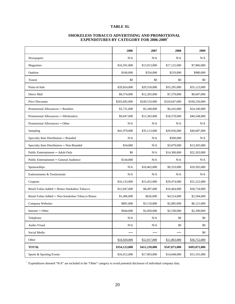#### **TABLE 3G**

| <b>SMOKELESS TOBACCO ADVERTISING AND PROMOTIONAL</b> |
|------------------------------------------------------|
| <b>EXPENDITURES BY CATEGORY FOR 2006-2009*</b>       |

|                                                  | 2006          | 2007          | 2008          | 2009          |
|--------------------------------------------------|---------------|---------------|---------------|---------------|
| Newspapers                                       | N/A           | N/A           | N/A           | N/A           |
| Magazines                                        | \$16,591,000  | \$13,913,000  | \$17,122,000  | \$7,866,000   |
| Outdoor                                          | \$166,000     | \$334,000     | \$219,000     | \$980,000     |
| Transit                                          | \$0           | \$0           | \$0           | \$0           |
| Point-of-Sale                                    | \$20,824,000  | \$29,318,000  | \$55,295,000  | \$55,123,000  |
| Direct Mail                                      | \$9,574,000   | \$12,205,000  | \$7,579,000   | \$9,607,000   |
| Price Discounts                                  | \$203,692,000 | \$249,510,000 | \$324,647,000 | \$160,256,000 |
| Promotional Allowances - Retailers               | \$3,731,000   | \$5,349,000   | \$6,416,000   | \$24,106,000  |
| Promotional Allowances - Wholesalers             | \$9,047,000   | \$12,383,000  | \$18,578,000  | \$40,548,000  |
| Promotional Allowances – Other                   | N/A           | N/A           | N/A           | N/A           |
| Sampling                                         | \$41,979,000  | \$35,113,000  | \$29,936,000  | \$40,687,000  |
| Specialty Item Distribution - Branded            | N/A           | N/A           | \$509,000     | N/A           |
| Specialty Item Distribution - Non-Branded        | \$34,000      | N/A           | \$3,079,000   | \$13,505,000  |
| Public Entertainment - Adult-Only                | \$0           | N/A           | \$14,300,000  | \$22,263,000  |
| Public Entertainment - General-Audience          | \$144,000     | N/A           | N/A           | N/A           |
| Sponsorships                                     | N/A           | \$10,462,000  | \$9,319,000   | \$10,505,000  |
| Endorsements & Testimonials                      | N/A           | N/A           | N/A           | N/A           |
| Coupons                                          | \$16,133,000  | \$15,452,000  | \$29,474,000  | \$31,222,000  |
| Retail-Value-Added - Bonus Smokeless Tobacco     | \$12,047,000  | \$8,497,000   | \$10,464,000  | \$28,734,000  |
| Retail-Value-Added - Non-Smokeless Tobacco Bonus | \$1,406,000   | \$626,000     | \$4,514,000   | \$2,504,000   |
| Company Websites                                 | \$891,000     | \$3,110,000   | \$2,085,000   | \$6,121,000   |
| $Internet - Other$                               | \$944,000     | \$2,050,000   | \$2,538,000   | \$2,290,000   |
| Telephone                                        | N/A           | N/A           | \$0           | \$0           |
| Audio-Visual                                     | N/A           | N/A           | \$0           | \$0           |
| Social Media                                     |               |               |               | \$0           |
| Other                                            | \$16,920,000  | \$12,917,000  | \$11,803,000  | \$36,752,000  |
| <b>TOTAL</b>                                     | \$354,123,000 | \$411,239,000 | \$547,873,000 | \$493,071,000 |
| Sports & Sporting Events                         | \$16,912,000  | \$17,903,000  | \$14,648,000  | \$15,191,000  |

\* Expenditures denoted "N/A" are included in the "Other" category to avoid potential disclosure of individual company data.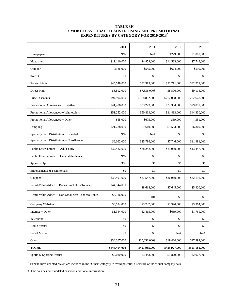#### **TABLE 3H SMOKELESS TOBACCO ADVERTISING AND PROMOTIONAL EXPENDITURES BY CATEGORY FOR 2010-2013\***

|                                                  | 2010          | 2011          | 2012          | 2013          |
|--------------------------------------------------|---------------|---------------|---------------|---------------|
| Newspapers                                       | N/A           | N/A           | \$229,000     | \$1,000,000   |
| Magazines                                        | \$11,110,000  | \$4,858,000   | \$11,533,000  | \$7,748,000   |
| Outdoor                                          | \$386,000     | \$545,000     | \$624,000     | \$590,000     |
| Transit                                          | \$0           | \$0           | \$0           | \$0           |
| Point-of-Sale                                    | \$45,548,000  | \$32,313,000  | \$31,711,000  | \$32,272,000  |
| Direct Mail                                      | \$8,892,000   | \$7,536,000†  | \$8,596,000   | \$9,114,000   |
| <b>Price Discounts</b>                           | \$94,994,000  | \$168,832,000 | \$212,058,000 | \$282,678,000 |
| Promotional Allowances - Retailers               | \$41,488,000  | \$33,229,000  | \$22,334,000  | \$29,852,000  |
| Promotional Allowances – Wholesalers             | \$51,252,000  | \$50,469,000  | \$41,493,000  | \$44,330,000  |
| Promotional Allowances – Other                   | \$55,000      | \$675,000     | \$69,000      | \$51,000      |
| Sampling                                         | \$21,288,000  | \$7,610,000   | \$9,553,000   | \$6,369,000   |
| Specialty Item Distribution - Branded            | N/A           | N/A           | \$0           | \$0           |
| Specialty Item Distribution - Non-Branded        | \$6,062,000   | \$25,796,000  | \$7,746,000   | \$11,981,000  |
| Public Entertainment - Adult-Only                | \$32,432,000  | \$38,242,000  | \$21,959,000  | \$13,447,000  |
| Public Entertainment - General-Audience          | N/A           | \$0           | \$0           | \$0           |
| Sponsorships                                     | N/A           | \$0           | \$0           | \$0           |
| Endorsements & Testimonials                      | \$0           | \$0           | \$0           | \$0           |
| Coupons                                          | \$34,491,000  | \$37,547,000  | \$36,969,000  | \$32,192,000  |
| Retail-Value-Added - Bonus Smokeless Tobacco     | \$44,144,000  | \$8,614,000   | \$7,645,000   | \$5,920,000   |
| Retail-Value-Added – Non-Smokeless Tobacco Bonus | \$4,116,000   | \$0†          | \$0           | \$0           |
| Company Websites                                 | \$8,524,000   | \$3,247,000   | \$3,320,000   | \$5,964,000   |
| $Internet - Other$                               | \$1,344,000   | \$2,415,000   | \$669,000     | \$1,761,000   |
| Telephone                                        | \$0           | \$0           | \$0           | $\$0$         |
| Audio-Visual                                     | \$0           | \$0           | \$0           | \$0           |
| Social Media                                     | \$0           | $\$0$         | N/A           | $\rm N/A$     |
| Other                                            | \$38,367,000  | \$30,058,000+ | \$19,420,000  | \$17,892,000  |
| <b>TOTAL</b>                                     | \$444,494,000 | \$451,985,000 | \$435,927,000 | \$503,161,000 |
| Sports & Sporting Events                         | \$9,030,000   | \$3,443,000   | \$1,829,000   | \$2,077,000   |

\* Expenditures denoted "N/A" are included in the "Other" category to avoid potential disclosure of individual company data.

† This data has been updated based on additional information.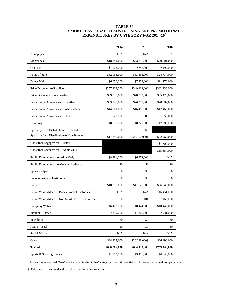#### **TABLE 3I SMOKELESS TOBACCO ADVERTISING AND PROMOTIONAL EXPENDITURES BY CATEGORY FOR 2014-16\***

|                                                  | 2014          | 2015          | 2016          |
|--------------------------------------------------|---------------|---------------|---------------|
| Newspapers                                       | N/A           | N/A           | N/A           |
| Magazines                                        | \$18,884,000  | \$23,116,000  | \$20,601,000  |
| Outdoor                                          | \$1,102,000   | \$641,000     | \$497,000     |
| Point-of-Sale                                    | \$32,963,000  | \$33,363,000  | \$24,777,000  |
| Direct Mail                                      | \$6,656,000   | \$7,259,000   | \$11,272,000  |
| Price Discounts - Retailers                      | \$257,338,000 | \$349,964,000 | \$382,336,000 |
| Price Discounts - Wholesalers                    | \$99,825,000  | \$78,872,000  | \$85,473,000  |
| Promotional Allowances - Retailers               | \$33,840,000  | \$26,272,000  | \$28,687,000  |
| Promotional Allowances - Wholesalers             | \$44,061,000  | \$46,486,000  | \$47,469,000  |
| Promotional Allowances – Other                   | \$27,000      | \$16,000      | \$6,000       |
| Sampling                                         | \$8,030,000   | \$8,228,000   | \$7,388,000   |
| Specialty Item Distribution - Branded            | \$0           | \$0           |               |
| Specialty Item Distribution - Non-Branded        | \$17,848,000  | \$25,962,000† | \$32,962,000  |
| Consumer Engagement - Retail                     |               |               | \$1,800,000   |
| Consumer Engagement - Adult-Only                 |               |               | \$15,657,000  |
| Public Entertainment - Adult-Only                | \$8,481,000   | \$6,872,000   | N/A           |
| Public Entertainment - General Audience          | \$0           | \$0           | \$0           |
| Sponsorships                                     | \$0           | \$0           | \$0           |
| Endorsements & Testimonials                      | \$0           | \$0           | \$0           |
| Coupons                                          | \$40,737,000  | \$41,528,000  | \$56,245,000  |
| Retail-Value-Added - Bonus Smokeless Tobacco     | N/A           | N/A           | \$6,451,000   |
| Retail-Value-Added - Non-Smokeless Tobacco Bonus | \$0           | $$0+$         | \$168,000     |
| Company Websites                                 | \$6,408,000   | \$8,444,000   | \$10,440,000  |
| $Internet - Other$                               | \$259,000     | \$1,265,000   | \$931,000     |
| Telephone                                        | \$0           | \$0           | \$0           |
| Audio-Visual                                     | \$0           | \$0           | \$0           |
| Social Media                                     | $\rm N/A$     | $\rm N/A$     | N/A           |
| Other                                            | \$24,327,000  | \$26,628,000+ | \$26,190,000  |
| <b>TOTAL</b>                                     | \$600,786,000 | \$684,938,000 | \$759,348,000 |
| Sports & Sporting Events                         | \$1,182,000   | \$3,496,000   | \$4,646,000   |

\* Expenditures denoted "N/A" are included in the "Other" category to avoid potential disclosure of individual company data.

† This data has been updated based on additional information.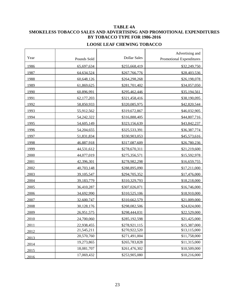# **TABLE 4A SMOKELESS TOBACCO SALES AND ADVERTISING AND PROMOTIONAL EXPENDITURES BY TOBACCO TYPE FOR 1986-2016**

| Year | Pounds Sold | <b>Dollar Sales</b> | Advertising and<br><b>Promotional Expenditures</b> |
|------|-------------|---------------------|----------------------------------------------------|
| 1986 | 65,697,634  | \$255,668,419       | \$32,249,750                                       |
| 1987 | 64,634,524  | \$267,766,776       | \$28,403,536                                       |
| 1988 | 60,648,126  | \$264,298,268       | \$26,198,078                                       |
| 1989 | 61,869,625  | \$281,701,402       | \$34,057,050                                       |
| 1990 | 60,896,991  | \$295,462,446       | \$35,194,561                                       |
| 1991 | 62,177,203  | \$321,458,416       | \$38,190,095                                       |
| 1992 | 58,850,933  | \$320,085,975       | \$42,820,544                                       |
| 1993 | 55,912,562  | \$319,672,867       | \$46,032,905                                       |
| 1994 | 54,242,322  | \$316,888,405       | \$44,807,716                                       |
| 1995 | 54,605,149  | \$323,156,639       | \$43,842,237                                       |
| 1996 | 54,204,655  | \$325,533,391       | \$36,387,774                                       |
| 1997 | 51,831,834  | \$330,903,053       | \$45,573,616                                       |
| 1998 | 46,887,918  | \$317,087,609       | \$26,780,236                                       |
| 1999 | 44,531,612  | \$278,670,311       | \$21,219,600                                       |
| 2000 | 44,077,019  | \$275,356,571       | \$15,592,978                                       |
| 2001 | 42,396,301  | \$278,982,298       | \$16,659,755                                       |
| 2002 | 40,703,148  | \$288,895,090       | \$17,211,000                                       |
| 2003 | 39,105,547  | \$294,705,352       | \$17,476,000                                       |
| 2004 | 39,183,779  | \$310,329,793       | \$18,218,000                                       |
| 2005 | 36,410,287  | \$307,026,071       | \$16,746,000                                       |
| 2006 | 34,692,990  | \$310,525,106       | \$18,910,000                                       |
| 2007 | 32,600,747  | \$310,662,579       | \$21,009,000                                       |
| 2008 | 30,128,176  | \$298,082,506       | \$24,024,000                                       |
| 2009 | 26,951,575  | \$298,444,031       | \$22,529,000                                       |
| 2010 | 24,700,060  | \$285,192,598       | \$21,425,000                                       |
| 2011 | 22,938,455  | \$278,921,115       | \$15,387,000                                       |
| 2012 | 21,545,211  | \$270,922,520       | \$13,115,000                                       |
| 2013 | 20,570,760  | \$271,491,004       | \$11,758,000                                       |
| 2014 | 19,273,865  | \$265,783,828       | \$11,315,000                                       |
| 2015 | 18,081,707  | \$261,476,302       | \$10,509,000                                       |
| 2016 | 17,069,432  | \$253,905,080       | \$10,216,000                                       |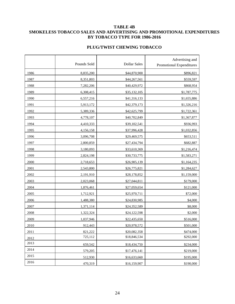#### **TABLE 4B SMOKELESS TOBACCO SALES AND ADVERTISING AND PROMOTIONAL EXPENDITURES BY TOBACCO TYPE FOR 1986-2016**

# **PLUG/TWIST CHEWING TOBACCO**

|      | Pounds Sold | <b>Dollar Sales</b> | Advertising and<br>Promotional Expenditures |
|------|-------------|---------------------|---------------------------------------------|
| 1986 | 8,835,200   | \$44,870,900        | \$896,821                                   |
| 1987 | 8,351,803   | \$44,267,561        | \$559,597                                   |
| 1988 | 7,282,206   | \$40,429,972        | \$868,954                                   |
| 1989 | 6,308,415   | \$35,132,105        | \$1,787,775                                 |
| 1990 | 6,557,216   | \$41,316,133        | \$1,655,886                                 |
| 1991 | 5,913,172   | \$42,379,173        | \$1,326,216                                 |
| 1992 | 5,389,336   | \$42,625,799        | \$1,722,361                                 |
| 1993 | 4,778,107   | \$40,702,849        | \$1,367,877                                 |
| 1994 | 4,410,333   | \$39,102,541        | \$936,993                                   |
| 1995 | 4,156,158   | \$37,996,428        | \$1,032,856                                 |
| 1996 | 3,096,708   | \$29,469,575        | \$653,511                                   |
| 1997 | 2,800,859   | \$27,434,794        | \$682,887                                   |
| 1998 | 3,180,093   | \$33,610,369        | \$1,216,474                                 |
| 1999 | 2,824,198   | \$30,733,775        | \$1,583,271                                 |
| 2000 | 2,718,653   | \$26,905,139        | \$1,164,235                                 |
| 2001 | 2,543,800   | \$26,775,821        | \$1,284,627                                 |
| 2002 | 2,191,910   | \$28,178,852        | \$1,159,000                                 |
| 2003 | 2,023,068   | \$27,044,811        | \$179,000                                   |
| 2004 | 1,876,461   | \$27,059,654        | \$121,000                                   |
| 2005 | 1,712,921   | \$25,970,711        | \$72,000                                    |
| 2006 | 1,488,380   | \$24,830,985        | \$4,000                                     |
| 2007 | 1,371,114   | \$24,352,589        | \$8,000                                     |
| 2008 | 1,322,324   | \$24,122,598        | \$2,000                                     |
| 2009 | 1,037,946   | \$22,435,650        | \$516,000                                   |
| 2010 | 912,443     | \$20,978,572        | \$501,000                                   |
| 2011 | 821,222     | \$20,082,358        | \$474,000                                   |
| 2012 | 725,112     | \$18,846,534        | \$292,000                                   |
| 2013 | 659,542     | \$18,434,750        | \$234,000                                   |
| 2014 | 579,205     | \$17,476,141        | \$219,000                                   |
| 2015 | 512,930     | \$16,633,660        | \$195,000                                   |
| 2016 | 470,319     | \$16,159,907        | \$190,000                                   |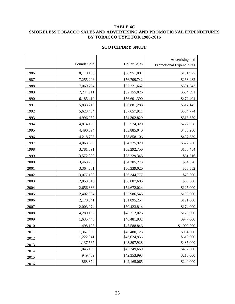#### **TABLE 4C SMOKELESS TOBACCO SALES AND ADVERTISING AND PROMOTIONAL EXPENDITURES BY TOBACCO TYPE FOR 1986-2016**

#### **SCOTCH/DRY SNUFF**

|      | Pounds Sold | <b>Dollar Sales</b> | Advertising and<br><b>Promotional Expenditures</b> |
|------|-------------|---------------------|----------------------------------------------------|
| 1986 | 8,110,168   | \$58,951,001        | \$181,977                                          |
| 1987 | 7,255,296   | \$56,709,742        | \$263,482                                          |
| 1988 | 7,069,754   | \$57,221,662        | \$501,543                                          |
| 1989 | 7,244,911   | \$62,155,826        | \$654,591                                          |
| 1990 | 6,185,410   | \$56,601,390        | \$472,404                                          |
| 1991 | 5,833,210   | \$56,881,288        | \$517,145                                          |
| 1992 | 5,623,404   | \$57,657,911        | \$354,774                                          |
| 1993 | 4,996,957   | \$54,302,829        | \$313,659                                          |
| 1994 | 4,814,130   | \$55,574,320        | \$272,038                                          |
| 1995 | 4,490,094   | \$53,885,040        | \$486,280                                          |
| 1996 | 4,218,705   | \$53,858,106        | \$437,339                                          |
| 1997 | 4,063,630   | \$54,725,929        | \$522,260                                          |
| 1998 | 3,781,891   | \$53,292,750        | \$155,484                                          |
| 1999 | 3,572,339   | \$53,229,345        | \$61,516                                           |
| 2000 | 3,463,705   | \$54,205,273        | \$54,878                                           |
| 2001 | 3,364,601   | \$56,339,020        | \$68,552                                           |
| 2002 | 3,077,100   | \$56,344,777        | \$79,000                                           |
| 2003 | 2,853,516   | \$56,087,685        | \$69,000                                           |
| 2004 | 2,656,336   | \$54,672,024        | \$125,000                                          |
| 2005 | 2,402,904   | \$52,986,545        | \$103,000                                          |
| 2006 | 2,170,341   | \$51,895,254        | \$191,000                                          |
| 2007 | 2,003,974   | \$50,423,814        | \$174,000                                          |
| 2008 | 4,280,152   | \$48,712,026        | \$179,000                                          |
| 2009 | 1,635,448   | \$48,481,932        | \$977,000                                          |
| 2010 | 1.498.125   | \$47,588,846        | \$1,000,000                                        |
| 2011 | 1,367,000   | \$46,480,123        | \$954,000                                          |
| 2012 | 1,222,041   | \$43,624,856        | \$610,000                                          |
| 2013 | 1,137,567   | \$43,807,928        | \$485,000                                          |
| 2014 | 1,045,169   | \$43,349,669        | \$492,000                                          |
| 2015 | 949,469     | \$42,353,993        | \$216,000                                          |
| 2016 | 868,874     | \$42,165,065        | \$249,000                                          |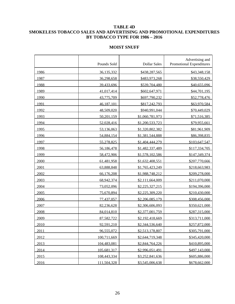#### **TABLE 4D SMOKELESS TOBACCO SALES AND ADVERTISING AND PROMOTIONAL EXPENDITURES BY TOBACCO TYPE FOR 1986 – 2016**

#### **MOIST SNUFF**

|      | Pounds Sold | <b>Dollar Sales</b> | Advertising and<br><b>Promotional Expenditures</b> |
|------|-------------|---------------------|----------------------------------------------------|
| 1986 | 36,135,332  | \$438,287,565       | \$43,348,158                                       |
| 1987 | 36,298,658  | \$483,973,268       | \$38,550,429                                       |
| 1988 | 39,433,696  | \$539,704,480       | \$40,655,096                                       |
| 1989 | 41,017,414  | \$602,647,971       | \$44,701,195                                       |
| 1990 | 43,775,709  | \$697,790,232       | \$52,778,476                                       |
| 1991 | 46,187,101  | \$817,242,793       | \$63,970,584                                       |
| 1992 | 48,509,020  | \$940,991,044       | \$70,449,029                                       |
| 1993 | 50,201,159  | \$1,060,781,973     | \$71,516,385                                       |
| 1994 | 52,028,416  | \$1,200,533,723     | \$79,955,661                                       |
| 1995 | 53,136,063  | \$1,320,802,382     | \$81,961,909                                       |
| 1996 | 54,884,154  | \$1,381,544,888     | \$86,398,835                                       |
| 1997 | 55,278,825  | \$1,404,444,279     | \$103,647,547                                      |
| 1998 | 56,186,478  | \$1,482,337,489     | \$117,334,705                                      |
| 1999 | 58,472,906  | \$1,578,102,586     | \$147,349,374                                      |
| 2000 | 61,481,958  | \$1,632,408,551     | \$207,770,666                                      |
| 2001 | 63,888,848  | \$1,765,423,249     | \$218,663,983                                      |
| 2002 | 66,176,208  | \$1,988,748,212     | \$209,278,000                                      |
| 2003 | 68,942,374  | \$2,111,664,009     | \$211,070,000                                      |
| 2004 | 73,052,096  | \$2,225,327,215     | \$194,396,000                                      |
| 2005 | 75,670,894  | \$2,225,309,220     | \$210,430,000                                      |
| 2006 | 77,437,057  | \$2,206,085,179     | \$308,456,000                                      |
| 2007 | 82,236,628  | \$2,306,606,093     | \$350,621,000                                      |
| 2008 | 84,014,810  | \$2,377,001,759     | \$287,315,000                                      |
| 2009 | 87,582,722  | \$2,192,418,669     | \$313,711,000                                      |
| 2010 | 92,591,210  | \$2,344,536,640     | \$257,872,000                                      |
| 2011 | 96,555,072  | \$2,513,178,807     | \$305,791,000                                      |
| 2012 | 100,711,669 | \$2,644,719,348     | \$345,420,000                                      |
| 2013 | 104,483,081 | \$2,844,764,226     | \$410,895,000                                      |
| 2014 | 105,681,317 | \$2,996,051,491     | \$497,143,000                                      |
| 2015 | 108,443,334 | \$3,252,841,636     | \$605,886,000                                      |
| 2016 | 111,504,328 | \$3,545,006,638     | \$678,662,000                                      |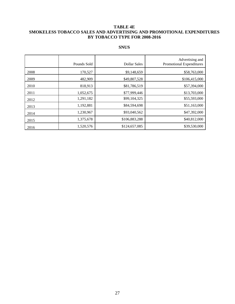#### **TABLE 4E SMOKELESS TOBACCO SALES AND ADVERTISING AND PROMOTIONAL EXPENDITURES BY TOBACCO TYPE FOR 2008-2016**

|      | Pounds Sold | <b>Dollar Sales</b> | Advertising and<br><b>Promotional Expenditures</b> |
|------|-------------|---------------------|----------------------------------------------------|
| 2008 | 170,527     | \$9,148,659         | \$58,763,000                                       |
| 2009 | 482,909     | \$49,807,528        | \$106,415,000                                      |
| 2010 | 818,913     | \$81,786,519        | \$57,394,000                                       |
| 2011 | 1,052,675   | \$77,999,446        | \$13,703,000                                       |
| 2012 | 1,291,182   | \$99,104,325        | \$55,593,000                                       |
| 2013 | 1,192,881   | \$84,594,698        | \$51,163,000                                       |
| 2014 | 1,230,967   | \$93,040,562        | \$47,392,000                                       |
| 2015 | 1,375,678   | \$106,883,288       | \$40,812,000                                       |
| 2016 | 1,520,576   | \$124,657,085       | \$39,530,000                                       |

### **SNUS**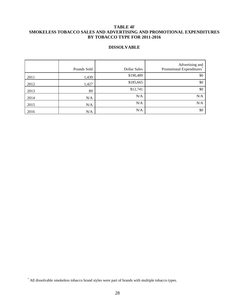#### **TABLE 4F SMOKELESS TOBACCO SALES AND ADVERTISING AND PROMOTIONAL EXPENDITURES BY TOBACCO TYPE FOR 2011-2016**

#### **DISSOLVABLE**

|      | Pounds Sold | Dollar Sales | Advertising and<br>Promotional Expenditures <sup>®</sup> |
|------|-------------|--------------|----------------------------------------------------------|
| 2011 | 1,439       | \$190,489    | \$0                                                      |
| 2012 | 1,427       | \$185,665    | \$0                                                      |
| 2013 | 89          | \$12,741     | \$0                                                      |
| 2014 | N/A         | N/A          | N/A                                                      |
| 2015 | N/A         | N/A          | N/A                                                      |
| 2016 | N/A         | N/A          | \$0                                                      |

<sup>\*</sup> All dissolvable smokeless tobacco brand styles were part of brands with multiple tobacco types.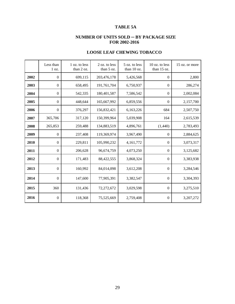# **TABLE 5A**

## **NUMBER OF UNITS SOLD ─ BY PACKAGE SIZE FOR 2002-2016**

|      | Less than<br>1 oz. | 1 oz. to less<br>than 2 oz. | 2 oz. to less<br>than 5 oz. | 5 oz. to less<br>than 10 oz. | 10 oz. to less<br>than 15 oz. | 15 oz. or more |
|------|--------------------|-----------------------------|-----------------------------|------------------------------|-------------------------------|----------------|
| 2002 | $\Omega$           | 699,115                     | 203,476,178                 | 5,426,568                    | $\Omega$                      | 2,800          |
| 2003 | $\Omega$           | 658,495                     | 191,761,704                 | 6,750,937                    | $\theta$                      | 286,274        |
| 2004 | $\mathbf{0}$       | 542,335                     | 180,401,587                 | 7,586,542                    | $\boldsymbol{0}$              | 2,002,084      |
| 2005 | $\overline{0}$     | 448,644                     | 165,667,992                 | 6,859,556                    | $\mathbf{0}$                  | 2,157,700      |
| 2006 | $\mathbf{0}$       | 376,297                     | 156,832,421                 | 6,163,226                    | 684                           | 2,507,750      |
| 2007 | 365,706            | 317,120                     | 150,399,964                 | 5,039,908                    | 164                           | 2,615,539      |
| 2008 | 265,853            | 259,488                     | 134,883,519                 | 4,896,761                    | (1,440)                       | 2,783,493      |
| 2009 | $\theta$           | 237,408                     | 119,369,974                 | 3,967,490                    | $\theta$                      | 2,884,625      |
| 2010 | $\mathbf{0}$       | 229,811                     | 105,990,232                 | 4,161,772                    | $\Omega$                      | 3,073,317      |
| 2011 | $\boldsymbol{0}$   | 206,628                     | 96,674,759                  | 4,073,250                    | $\mathbf{0}$                  | 3,125,682      |
| 2012 | $\mathbf{0}$       | 171,483                     | 88,422,555                  | 3,868,324                    | $\Omega$                      | 3,383,938      |
| 2013 | $\theta$           | 160,992                     | 84,014,098                  | 3,612,208                    | $\Omega$                      | 3,284,546      |
| 2014 | $\boldsymbol{0}$   | 147,600                     | 77,905,391                  | 3,382,547                    | $\Omega$                      | 3,304,393      |
| 2015 | 360                | 131,436                     | 72,272,672                  | 3,029,598                    | $\Omega$                      | 3,275,510      |
| 2016 | $\mathbf{0}$       | 118,368                     | 75,525,669                  | 2,759,408                    | $\Omega$                      | 3,207,272      |

# **LOOSE LEAF CHEWING TOBACCO**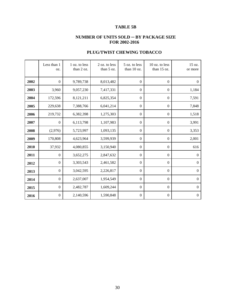# **TABLE 5B**

## **NUMBER OF UNITS SOLD ─ BY PACKAGE SIZE FOR 2002-2016**

|      | Less than 1<br>OZ. | 1 oz. to less<br>than 2 oz. | 2 oz. to less<br>than 5 oz. | 5 oz. to less<br>than 10 oz. | 10 oz. to less<br>than 15 oz. | 15 oz.<br>or more |
|------|--------------------|-----------------------------|-----------------------------|------------------------------|-------------------------------|-------------------|
| 2002 | $\boldsymbol{0}$   | 9,789,738                   | 8,013,482                   | $\mathbf{0}$                 | $\boldsymbol{0}$              | $\overline{0}$    |
| 2003 | 3,960              | 9,057,230                   | 7,417,331                   | $\mathbf{0}$                 | $\mathbf{0}$                  | 1,184             |
| 2004 | 172,596            | 8,121,211                   | 6,825,354                   | $\boldsymbol{0}$             | $\boldsymbol{0}$              | 7,591             |
| 2005 | 229,638            | 7,388,766                   | 6,041,214                   | $\boldsymbol{0}$             | $\mathbf{0}$                  | 7,848             |
| 2006 | 219,732            | 6,382,398                   | 1,275,303                   | $\mathbf{0}$                 | $\mathbf{0}$                  | 1,518             |
| 2007 | $\boldsymbol{0}$   | 6,113,798                   | 1,107,983                   | $\boldsymbol{0}$             | $\boldsymbol{0}$              | 3,991             |
| 2008 | (2,976)            | 5,723,997                   | 1,093,135                   | $\boldsymbol{0}$             | $\mathbf{0}$                  | 3,353             |
| 2009 | 170,808            | 4,623,964                   | 3,599,939                   | $\boldsymbol{0}$             | $\boldsymbol{0}$              | 2,001             |
| 2010 | 37,932             | 4,080,855                   | 3,150,940                   | $\boldsymbol{0}$             | $\theta$                      | 616               |
| 2011 | $\mathbf{0}$       | 3,652,275                   | 2,847,632                   | $\boldsymbol{0}$             | $\mathbf{0}$                  | $\overline{0}$    |
| 2012 | $\boldsymbol{0}$   | 3,303,543                   | 2,461,582                   | $\mathbf{0}$                 | $\boldsymbol{0}$              | $\boldsymbol{0}$  |
| 2013 | $\mathbf{0}$       | 3,042,595                   | 2,226,817                   | $\mathbf{0}$                 | $\boldsymbol{0}$              | $\mathbf{0}$      |
| 2014 | $\boldsymbol{0}$   | 2,637,007                   | 1,954,549                   | $\boldsymbol{0}$             | $\overline{0}$                | $\overline{0}$    |
| 2015 | $\mathbf{0}$       | 2,482,787                   | 1,609,244                   | $\boldsymbol{0}$             | $\mathbf{0}$                  | $\overline{0}$    |
| 2016 | $\boldsymbol{0}$   | 2,140,596                   | 1,590,848                   | $\boldsymbol{0}$             | $\boldsymbol{0}$              | $\boldsymbol{0}$  |

## **PLUG/TWIST CHEWING TOBACCO**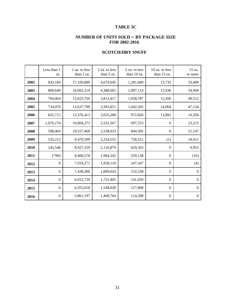# **TABLE 5C**

## **NUMBER OF UNITS SOLD ─ BY PACKAGE SIZE FOR 2002-2016**

|      | Less than 1<br>OZ. | 1 oz. to less<br>than 2 oz. | 2 oz. to less<br>than 5 oz. | 5 oz. to less<br>than 10 oz. | $10$ oz. to less<br>than 15 oz. | 15 oz.<br>or more |
|------|--------------------|-----------------------------|-----------------------------|------------------------------|---------------------------------|-------------------|
| 2002 | 833,184            | 17,320,899                  | 4,679,645                   | 1,201,840                    | 15,735                          | 33,400            |
| 2003 | 800,640            | 16,092,214                  | 4,388,662                   | 1,097,114                    | 15,936                          | 34,994            |
| 2004 | 764,064            | 15,023,756                  | 3,813,417                   | 1,058,787                    | 15,456                          | 49,512            |
| 2005 | 734,976            | 13,637,790                  | 3,303,851                   | 1,042,565                    | 14,064                          | 47,134            |
| 2006 | 655,712            | 12,376,413                  | 3,025,288                   | 972,826                      | 13,891                          | 16,356            |
| 2007 | 1,676,174          | 10,804,273                  | 2,531,367                   | 697,253                      | $\mathbf{0}$                    | 23,213            |
| 2008 | 598,464            | 10,557,468                  | 2,538,033                   | 844,505                      | $\boldsymbol{0}$                | 21,147            |
| 2009 | 535,212            | 9,470,599                   | 2,254,555                   | 728,551                      | (1)                             | 18,411            |
| 2010 | 245,548            | 8,927,259                   | 2,116,879                   | 629,343                      | $\mathbf{0}$                    | 9,955             |
| 2011 | (799)              | 8,400,578                   | 1,964,342                   | 559,138                      | $\mathbf{0}$                    | (16)              |
| 2012 | $\mathbf{0}$       | 7,919,271                   | 1,958,110                   | 247,347                      | $\mathbf{0}$                    | (4)               |
| 2013 | $\Omega$           | 7,438,306                   | 1,899,643                   | 152,538                      | $\mathbf{0}$                    | $\mathbf{0}$      |
| 2014 | $\mathbf{0}$       | 6,922,729                   | 1,721,405                   | 141,020                      | $\boldsymbol{0}$                | $\overline{0}$    |
| 2015 | $\boldsymbol{0}$   | 6,355,018                   | 1,548,028                   | 127,868                      | $\boldsymbol{0}$                | $\mathbf{0}$      |
| 2016 | $\mathbf{0}$       | 5,861,197                   | 1,408,764                   | 114,298                      | $\boldsymbol{0}$                | $\boldsymbol{0}$  |

## **SCOTCH/DRY SNUFF**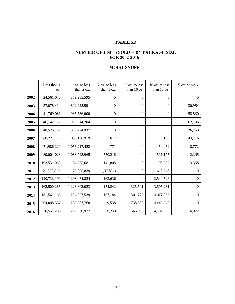# **TABLE 5D**

#### **NUMBER OF UNITS SOLD ─ BY PACKAGE SIZE FOR 2002-2016**

# **MOIST SNUFF**

|      | Less than 1<br>OZ. | 1 oz. to less<br>than 2 oz. | 2 oz. to less<br>than 5 oz. | 5 oz. to less<br>than 10 oz. | 10 oz. to less<br>than 15 oz. | 15 oz. or more |
|------|--------------------|-----------------------------|-----------------------------|------------------------------|-------------------------------|----------------|
| 2002 | 24,561,076         | 859,285,595                 | $\theta$                    | $\mathbf{0}$                 | $\mathbf{0}$                  | $\overline{0}$ |
| 2003 | 37,078,414         | 892,925,591                 | $\boldsymbol{0}$            | $\mathbf{0}$                 | $\mathbf{0}$                  | 30,984         |
| 2004 | 41,769,081         | 935,536,000                 | $\boldsymbol{0}$            | $\boldsymbol{0}$             | $\overline{0}$                | 58,830         |
| 2005 | 46,142,758         | 958,614,204                 | $\boldsymbol{0}$            | $\mathbf{0}$                 | $\theta$                      | 62,706         |
| 2006 | 48,576,464         | 975,274,937                 | $\boldsymbol{0}$            | $\mathbf{0}$                 | $\overline{0}$                | 26,753         |
| 2007 | 60,274,128         | 1,039,156,919               | 612                         | $\mathbf{0}$                 | 6,186                         | 44,416         |
| 2008 | 71,986,220         | 1,056,217,422               | 771                         | $\overline{0}$               | 54,452                        | 18,772         |
| 2009 | 89,001,023         | 1,083,725,965               | 550,216                     | $\Omega$                     | 511,175                       | 12,245         |
| 2010 | 103,531,063        | 1,134,785,681               | 141,808                     | $\overline{0}$               | 1,193,327                     | 3,358          |
| 2011 | 121,589,821        | 1,176,205,839               | (37, 824)                   | $\theta$                     | 1,618,546                     | $\Omega$       |
| 2012 | 140,723,199        | 1,208,434,824               | 163,636                     | $\overline{0}$               | 2,544,526                     | $\Omega$       |
| 2013 | 162,500,285        | 1,228,602,023               | 154,242                     | 325,501                      | 3,505,261                     | $\overline{0}$ |
| 2014 | 181,561,165        | 1,224,327,539               | 107,184                     | 501,770                      | 4,077,255                     | $\overline{0}$ |
| 2015 | 204,008,337        | 1,239,287,768               | 9,538                       | 738,893                      | 4,443,748                     | $\mathbf{0}$   |
| 2016 | 230, 557, 286      | 1,258,020,977               | 226,250                     | 566,059                      | 4,792,990                     | 6,072          |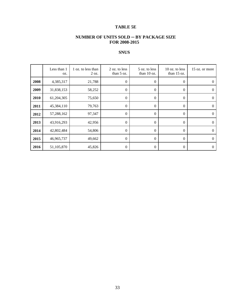# **TABLE 5E**

## **NUMBER OF UNITS SOLD ─ BY PACKAGE SIZE FOR 2008-2015**

# **SNUS**

|      | Less than 1<br>OZ. | 1 oz. to less than<br>$2 \text{ oz.}$ | 2 oz. to less<br>than $5$ oz. | 5 oz. to less<br>than $10$ oz. | $10$ oz. to less<br>than $15$ oz. | 15 oz. or more |
|------|--------------------|---------------------------------------|-------------------------------|--------------------------------|-----------------------------------|----------------|
| 2008 | 4,385,317          | 21,788                                | $\boldsymbol{0}$              | 0                              | $\theta$                          | $\Omega$       |
| 2009 | 31,838,153         | 58,252                                | $\boldsymbol{0}$              | $\boldsymbol{0}$               | $\theta$                          | $\Omega$       |
| 2010 | 61,204,305         | 75,650                                | 0                             | 0                              | $\theta$                          | 0              |
| 2011 | 45,384,110         | 79,763                                | $\boldsymbol{0}$              | $\overline{0}$                 | $\theta$                          | $\Omega$       |
| 2012 | 57,288,162         | 97,347                                | $\boldsymbol{0}$              | $\boldsymbol{0}$               | $\theta$                          | $\Omega$       |
| 2013 | 43,916,293         | 42,956                                | $\boldsymbol{0}$              | 0                              | $\theta$                          | $\Omega$       |
| 2014 | 42,802,484         | 54,806                                | $\boldsymbol{0}$              | $\theta$                       | $\overline{0}$                    | $\Omega$       |
| 2015 | 46,965,737         | 49,662                                | $\boldsymbol{0}$              | 0                              | $\boldsymbol{0}$                  | $\Omega$       |
| 2016 | 51,105,870         | 45,826                                | 0                             | $\boldsymbol{0}$               | $\boldsymbol{0}$                  | $\Omega$       |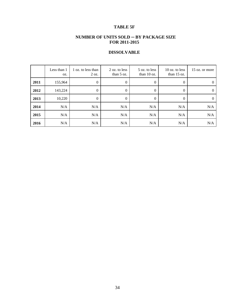# **TABLE 5F**

## **NUMBER OF UNITS SOLD ─ BY PACKAGE SIZE FOR 2011-2015**

# **DISSOLVABLE**

|      | Less than 1<br>OZ. | 1 oz. to less than<br>$2 \text{ oz.}$ | 2 oz. to less<br>than $5 \text{ oz}$ . | 5 oz. to less<br>than $10$ oz. | $10$ oz. to less<br>than $15$ oz. | 15 oz. or more |
|------|--------------------|---------------------------------------|----------------------------------------|--------------------------------|-----------------------------------|----------------|
| 2011 | 155,964            | $\theta$                              | $\boldsymbol{0}$                       | $\boldsymbol{0}$               | $\boldsymbol{0}$                  | $\theta$       |
| 2012 | 143,224            | 0                                     | $\theta$                               | $\mathbf{0}$                   | $\theta$                          | $\Omega$       |
| 2013 | 10,220             | $\theta$                              | $\theta$                               | $\mathbf{0}$                   | $\theta$                          | $\Omega$       |
| 2014 | N/A                | N/A                                   | N/A                                    | N/A                            | N/A                               | N/A            |
| 2015 | N/A                | N/A                                   | N/A                                    | N/A                            | N/A                               | N/A            |
| 2016 | N/A                | N/A                                   | N/A                                    | N/A                            | N/A                               | N/A            |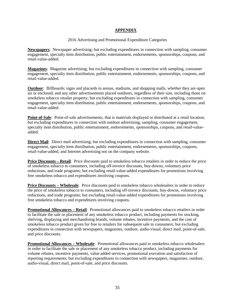#### **APPENDIX**

#### 2016 Advertising and Promotional Expenditure Categories

**Newspapers**: Newspaper advertising; but excluding expenditures in connection with sampling, consumer engagement, specialty item distribution, public entertainment, endorsements, sponsorships, coupons, and retail-value-added.

**Magazines**: Magazine advertising; but excluding expenditures in connection with sampling, consumer engagement, specialty item distribution, public entertainment, endorsements, sponsorships, coupons, and retail-value-added.

**Outdoor**: Billboards; signs and placards in arenas, stadiums, and shopping malls, whether they are open air or enclosed; and any other advertisements placed outdoors, regardless of their size, including those on smokeless tobacco retailer property; but excluding expenditures in connection with sampling, consumer engagement, specialty item distribution, public entertainment, endorsements, sponsorships, coupons, and retail-value-added.

**Point-of-Sale**: Point-of-sale advertisements, that is materials displayed or distributed at a retail location; but excluding expenditures in connection with outdoor advertising, sampling, consumer engagement, specialty item distribution, public entertainment, endorsements, sponsorships, coupons, and retail-valueadded.

**Direct Mail**: Direct mail advertising; but excluding expenditures in connection with sampling, consumer engagement, specialty item distribution, public entertainment, endorsements, sponsorships, coupons, retail-value-added, and Internet advertising not on the company website.

**Price Discounts – Retail**: Price discounts paid to smokeless tobacco retailers in order to reduce the price of smokeless tobacco to consumers, including off-invoice discounts, buy-downs, voluntary price reductions, and trade programs; but excluding retail-value-added expenditures for promotions involving free smokeless tobacco and expenditures involving coupons.

**Price Discounts – Wholesale**: Price discounts paid to smokeless tobacco wholesalers in order to reduce the price of smokeless tobacco to consumers, including off-invoice discounts, buy-downs, voluntary price reductions, and trade programs; but excluding retail-value-added expenditures for promotions involving free smokeless tobacco and expenditures involving coupons.

**Promotional Allowances – Retail**: Promotional allowances paid to smokeless tobacco retailers in order to facilitate the sale or placement of any smokeless tobacco product, including payments for stocking, shelving, displaying and merchandising brands, volume rebates, incentive payments, and the cost of smokeless tobacco product given for free to retailers for subsequent sale to consumers; but excluding expenditures in connection with newspapers, magazines, outdoor, audio-visual, direct mail, point-of-sale, and price discounts.

**Promotional Allowances – Wholesale**: Promotional allowances paid to smokeless tobacco wholesalers in order to facilitate the sale or placement of any smokeless tobacco product, including payments for volume rebates, incentive payments, value added services, promotional execution and satisfaction of reporting requirements; but excluding expenditures in connection with newspapers, magazines, outdoor, audio-visual, direct mail, point-of-sale, and price discounts.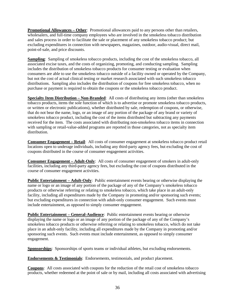**Promotional Allowances – Other**: Promotional allowances paid to any persons other than retailers, wholesalers, and full-time company employees who are involved in the smokeless tobacco distribution and sales process in order to facilitate the sale or placement of any smokeless tobacco product; but excluding expenditures in connection with newspapers, magazines, outdoor, audio-visual, direct mail, point-of-sale, and price discounts.

**Sampling**: Sampling of smokeless tobacco products, including the cost of the smokeless tobacco, all associated excise taxes, and the costs of organizing, promoting, and conducting sampling. Sampling includes the distribution of smokeless tobacco products for consumer testing or evaluation when consumers are able to use the smokeless tobacco outside of a facility owned or operated by the Company, but not the cost of actual clinical testing or market research associated with such smokeless tobacco distributions. Sampling also includes the distribution of coupons for free smokeless tobacco, when no purchase or payment is required to obtain the coupons or the smokeless tobacco product.

**Specialty Item Distribution – Non-Branded**: All costs of distributing any items (other than smokeless tobacco products, items the sole function of which is to advertise or promote smokeless tobacco products, or written or electronic publications), whether distributed by sale, redemption of coupons, or otherwise, that do not bear the name, logo, or an image of any portion of the package of any brand or variety of smokeless tobacco product, including the cost of the items distributed but subtracting any payments received for the item. The costs associated with distributing non-smokeless tobacco items in connection with sampling or retail-value-added programs are reported in those categories, not as specialty item distribution.

**Consumer Engagement – Retail**: All costs of consumer engagement at smokeless tobacco product retail locations open to underage individuals, including any third-party agency fees, but excluding the cost of coupons distributed in the course of consumer engagement activities.

**Consumer Engagement – Adult-Only**: All costs of consumer engagement of smokers in adult-only facilities, including any third-party agency fees, but excluding the cost of coupons distributed in the course of consumer engagement activities.

**Public Entertainment – Adult-Only**: Public entertainment events bearing or otherwise displaying the name or logo or an image of any portion of the package of any of the Company's smokeless tobacco products or otherwise referring or relating to smokeless tobacco, which take place in an adult-only facility, including all expenditures made by the Company in promoting and/or sponsoring such events; but excluding expenditures in connection with adult-only consumer engagement. Such events must include entertainment, as opposed to simply consumer engagement.

**Public Entertainment – General-Audience**: Public entertainment events bearing or otherwise displaying the name or logo or an image of any portion of the package of any of the Company's smokeless tobacco products or otherwise referring or relating to smokeless tobacco, which do not take place in an adult-only facility, including all expenditures made by the Company in promoting and/or sponsoring such events. Such events must include entertainment, as opposed to simply consumer engagement.

**Sponsorships**: Sponsorships of sports teams or individual athletes, but excluding endorsements.

**Endorsements & Testimonials**: Endorsements, testimonials, and product placement.

**Coupons**: All costs associated with coupons for the reduction of the retail cost of smokeless tobacco products, whether redeemed at the point of sale or by mail, including all costs associated with advertising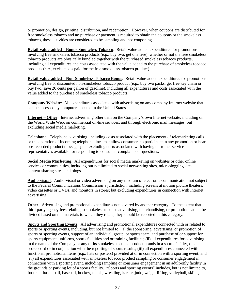or promotion, design, printing, distribution, and redemption. However, when coupons are distributed for free smokeless tobacco and no purchase or payment is required to obtain the coupons or the smokeless tobacco, these activities are considered to be sampling and not couponing.

**Retail-value-added – Bonus Smokeless Tobacco**: Retail-value-added expenditures for promotions involving free smokeless tobacco products (*e.g.,* buy two, get one free), whether or not the free smokeless tobacco products are physically bundled together with the purchased smokeless tobacco products, including all expenditures and costs associated with the value added to the purchase of smokeless tobacco products (*e.g.*, excise taxes paid for the free smokeless tobacco product).

**Retail-value-added – Non-Smokeless Tobacco Bonus**: Retail-value-added expenditures for promotions involving free or discounted non-smokeless tobacco product (*e.g.,* buy two packs, get free key chain or buy two, save 20 cents per gallon of gasoline), including all expenditures and costs associated with the value added to the purchase of smokeless tobacco products.

**Company Website**: All expenditures associated with advertising on any company Internet website that can be accessed by computers located in the United States.

**Internet – Other**: Internet advertising other than on the Company's own Internet website, including on the World Wide Web, on commercial on-line services, and through electronic mail messages; but excluding social media marketing.

**Telephone**: Telephone advertising, including costs associated with the placement of telemarketing calls or the operation of incoming telephone lines that allow consumers to participate in any promotion or hear pre-recorded product messages; but excluding costs associated with having customer service representatives available for responding to consumer complaints or questions.

**Social Media Marketing**: All expenditures for social media marketing on websites or other online services or communities, including but not limited to social networking sites, microblogging sites, content-sharing sites, and blogs.

**Audio-visual**: Audio-visual or video advertising on any medium of electronic communication not subject to the Federal Communications Commission's jurisdiction, including screens at motion picture theaters, video cassettes or DVDs, and monitors in stores; but excluding expenditures in connection with Internet advertising.

**Other**: Advertising and promotional expenditures not covered by another category. To the extent that third-party agency fees relating to smokeless tobacco advertising, merchandising, or promotion cannot be divided based on the materials to which they relate, they should be reported in this category.

**Sports and Sporting Events**: All advertising and promotional expenditures connected with or related to sports or sporting events, including, but not limited to: (i) the sponsoring, advertising, or promotion of sports or sporting events, support of an individual, group, or sports team, and purchase of or support for sports equipment, uniforms, sports facilities and or training facilities; (ii) all expenditures for advertising in the name of the Company or any of its smokeless tobacco product brands in a sports facility, on a scoreboard or in conjunction with the reporting of sports results; (iii) all expenditures connected with functional promotional items (*e.g.*, hats or posters) provided at or in connection with a sporting event; and (iv) all expenditures associated with smokeless tobacco product sampling or consumer engagement in connection with a sporting event, including sampling or consumer engagement in an adult-only facility in the grounds or parking lot of a sports facility. "Sports and sporting events" includes, but is not limited to, football, basketball, baseball, hockey, tennis, wrestling, karate, judo, weight lifting, volleyball, skiing,